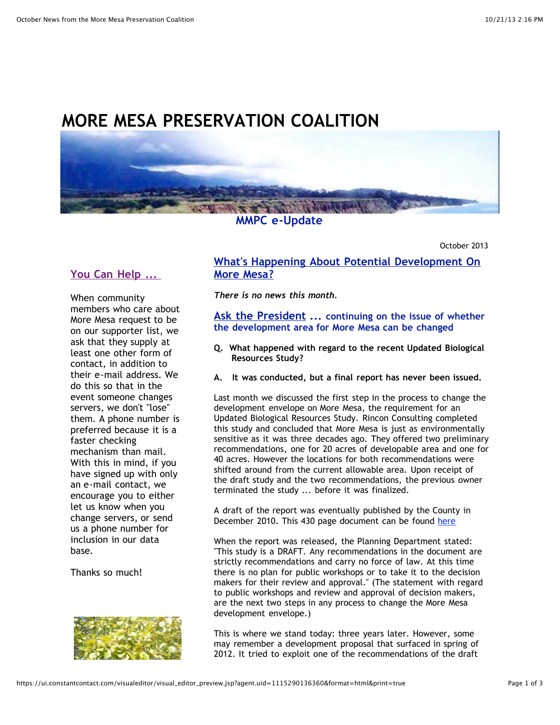# **MORE MESA PRESERVATION COALITION**



#### **MMPC e-Update**

October 2013

## **You Can Help ...**

When community members who care about More Mesa request to be on our supporter list, we ask that they supply at least one other form of contact, in addition to their e-mail address. We do this so that in the event someone changes servers, we don't "lose" them. A phone number is preferred because it is a faster checking mechanism than mail. With this in mind, if you have signed up with only an e-mail contact, we encourage you to either let us know when you change servers, or send us a phone number for inclusion in our data base.

Thanks so much!



#### **What's Happening About Potential Development On More Mesa?**

*There is no news this month.*

**Ask the President ... continuing on the issue of whether the development area for More Mesa can be changed**

- **Q. What happened with regard to the recent Updated Biological Resources Study?**
- **A. It was conducted, but a final report has never been issued.**

Last month we discussed the first step in the process to change the development envelope on More Mesa, the requirement for an Updated Biological Resources Study. Rincon Consulting completed this study and concluded that More Mesa is just as environmentally sensitive as it was three decades ago. They offered two preliminary recommendations, one for 20 acres of developable area and one for 40 acres. However the locations for both recommendations were shifted around from the current allowable area. Upon receipt of the draft study and the two recommendations, the previous owner terminated the study ... before it was finalized.

A draft of the report was eventually published by the County in December 2010. This 430 page document can be found [here](http://r20.rs6.net/tn.jsp?e=001p2yKX7Ud3aV-vYbXCDc3JLkmcYUINo9XILXtfyNgVjgnOqnw17OoC_vLRpZpGaBmOUTnncreWG_L-4eq6Mi55unVs6ajdPggdLYLzzMvxDYrWf64jJ-zgpQwPxBcl6K7zkrkOEp4tvIH29WaKk-dYaIGzt7IIqHU1TePEXigcwmq0hzO8JAuxDWcFP6-lBeGCTwHsb8nixbHSKOKtxavm_IvCa_vX4JVWMDP8jINTtrg6buYLTlRa1c2yf_y3fkgO5FZTjAiJow=)

When the report was released, the Planning Department stated: "This study is a DRAFT. Any recommendations in the document are strictly recommendations and carry no force of law. At this time there is no plan for public workshops or to take it to the decision makers for their review and approval." (The statement with regard to public workshops and review and approval of decision makers, are the next two steps in any process to change the More Mesa development envelope.)

This is where we stand today: three years later. However, some may remember a development proposal that surfaced in spring of 2012. It tried to exploit one of the recommendations of the draft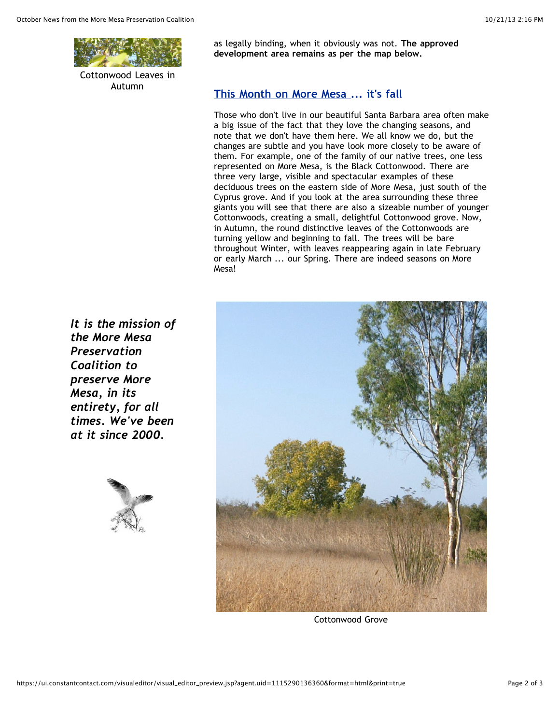

Cottonwood Leaves in Autumn

as legally binding, when it obviously was not. **The approved development area remains as per the map below.**

### **This Month on More Mesa ... it's fall**

Those who don't live in our beautiful Santa Barbara area often make a big issue of the fact that they love the changing seasons, and note that we don't have them here. We all know we do, but the changes are subtle and you have look more closely to be aware of them. For example, one of the family of our native trees, one less represented on More Mesa, is the Black Cottonwood. There are three very large, visible and spectacular examples of these deciduous trees on the eastern side of More Mesa, just south of the Cyprus grove. And if you look at the area surrounding these three giants you will see that there are also a sizeable number of younger Cottonwoods, creating a small, delightful Cottonwood grove. Now, in Autumn, the round distinctive leaves of the Cottonwoods are turning yellow and beginning to fall. The trees will be bare throughout Winter, with leaves reappearing again in late February or early March ... our Spring. There are indeed seasons on More Mesa!



Cottonwood Grove

*It is the mission of the More Mesa Preservation Coalition to preserve More Mesa, in its entirety, for all times. We've been at it since 2000.*